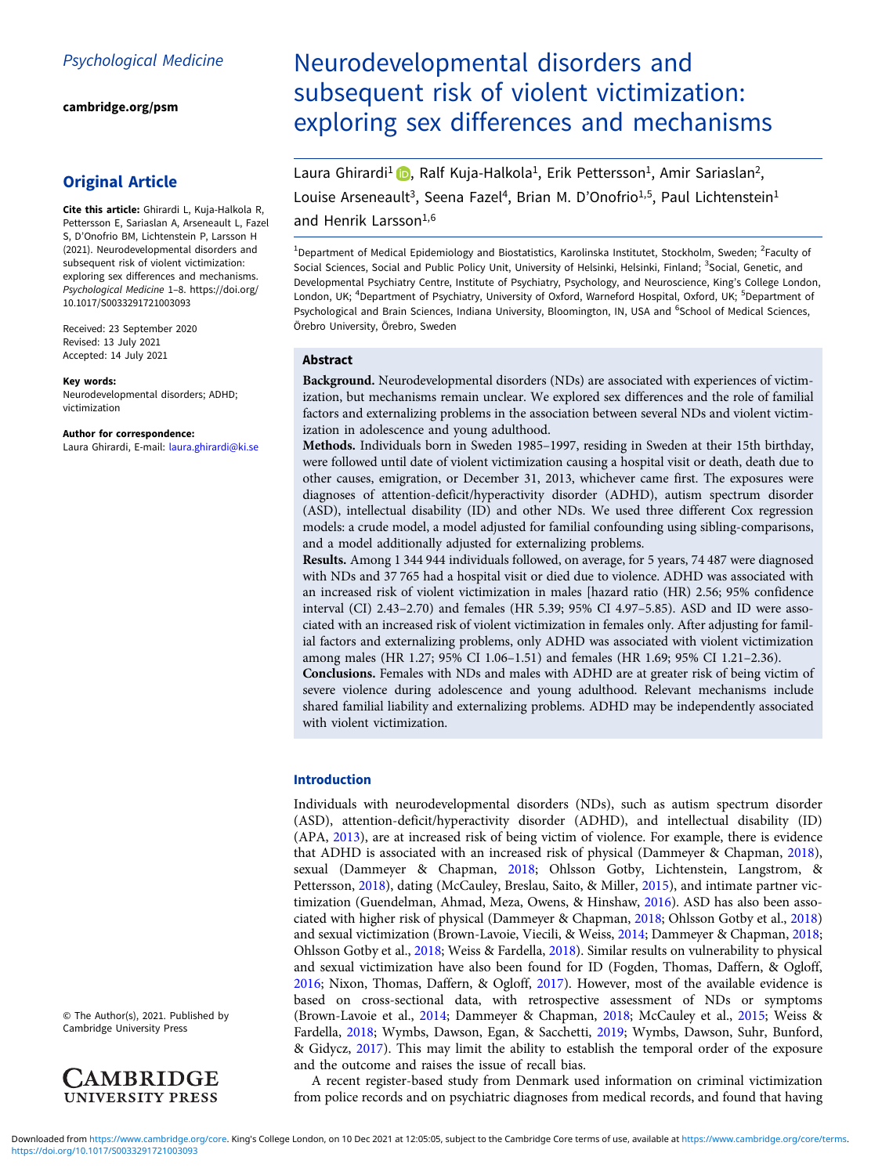[cambridge.org/psm](https://www.cambridge.org/psm)

# Original Article

Cite this article: Ghirardi L, Kuja-Halkola R, Pettersson E, Sariaslan A, Arseneault L, Fazel S, D'Onofrio BM, Lichtenstein P, Larsson H (2021). Neurodevelopmental disorders and subsequent risk of violent victimization: exploring sex differences and mechanisms. Psychological Medicine 1–8. [https://doi.org/](https://doi.org/10.1017/S0033291721003093) [10.1017/S0033291721003093](https://doi.org/10.1017/S0033291721003093)

Received: 23 September 2020 Revised: 13 July 2021 Accepted: 14 July 2021

#### Key words:

Neurodevelopmental disorders; ADHD; victimization

#### Author for correspondence:

Laura Ghirardi, E-mail: [laura.ghirardi@ki.se](mailto:laura.ghirardi@ki.se)

© The Author(s), 2021. Published by Cambridge University Press



# Neurodevelopmental disorders and subsequent risk of violent victimization: exploring sex differences and mechanisms

Laura Ghirardi<sup>1</sup> , Ralf Kuja-Halkola<sup>1</sup>, Erik Pettersson<sup>1</sup>, Amir Sariaslan<sup>2</sup>, Louise Arseneault<sup>3</sup>, Seena Fazel<sup>4</sup>, Brian M. D'Onofrio<sup>1,5</sup>, Paul Lichtenstein<sup>1</sup>

# and Henrik Larsson<sup>1,6</sup>

<sup>1</sup>Department of Medical Epidemiology and Biostatistics, Karolinska Institutet, Stockholm, Sweden; <sup>2</sup>Faculty of Social Sciences, Social and Public Policy Unit, University of Helsinki, Helsinki, Finland; <sup>3</sup>Social, Genetic, and Developmental Psychiatry Centre, Institute of Psychiatry, Psychology, and Neuroscience, King's College London, London, UK; <sup>4</sup>Department of Psychiatry, University of Oxford, Warneford Hospital, Oxford, UK; <sup>5</sup>Department of Psychological and Brain Sciences, Indiana University, Bloomington, IN, USA and <sup>6</sup>School of Medical Sciences, Örebro University, Örebro, Sweden

#### Abstract

Background. Neurodevelopmental disorders (NDs) are associated with experiences of victimization, but mechanisms remain unclear. We explored sex differences and the role of familial factors and externalizing problems in the association between several NDs and violent victimization in adolescence and young adulthood.

Methods. Individuals born in Sweden 1985–1997, residing in Sweden at their 15th birthday, were followed until date of violent victimization causing a hospital visit or death, death due to other causes, emigration, or December 31, 2013, whichever came first. The exposures were diagnoses of attention-deficit/hyperactivity disorder (ADHD), autism spectrum disorder (ASD), intellectual disability (ID) and other NDs. We used three different Cox regression models: a crude model, a model adjusted for familial confounding using sibling-comparisons, and a model additionally adjusted for externalizing problems.

Results. Among 1 344 944 individuals followed, on average, for 5 years, 74 487 were diagnosed with NDs and 37 765 had a hospital visit or died due to violence. ADHD was associated with an increased risk of violent victimization in males [hazard ratio (HR) 2.56; 95% confidence interval (CI) 2.43–2.70) and females (HR 5.39; 95% CI 4.97–5.85). ASD and ID were associated with an increased risk of violent victimization in females only. After adjusting for familial factors and externalizing problems, only ADHD was associated with violent victimization among males (HR 1.27; 95% CI 1.06–1.51) and females (HR 1.69; 95% CI 1.21–2.36).

Conclusions. Females with NDs and males with ADHD are at greater risk of being victim of severe violence during adolescence and young adulthood. Relevant mechanisms include shared familial liability and externalizing problems. ADHD may be independently associated with violent victimization.

#### Introduction

Individuals with neurodevelopmental disorders (NDs), such as autism spectrum disorder (ASD), attention-deficit/hyperactivity disorder (ADHD), and intellectual disability (ID) (APA, [2013](#page-6-0)), are at increased risk of being victim of violence. For example, there is evidence that ADHD is associated with an increased risk of physical (Dammeyer & Chapman, [2018](#page-6-0)), sexual (Dammeyer & Chapman, [2018](#page-6-0); Ohlsson Gotby, Lichtenstein, Langstrom, & Pettersson, [2018](#page-7-0)), dating (McCauley, Breslau, Saito, & Miller, [2015\)](#page-7-0), and intimate partner victimization (Guendelman, Ahmad, Meza, Owens, & Hinshaw, [2016](#page-7-0)). ASD has also been associated with higher risk of physical (Dammeyer & Chapman, [2018;](#page-6-0) Ohlsson Gotby et al., [2018](#page-7-0)) and sexual victimization (Brown-Lavoie, Viecili, & Weiss, [2014;](#page-6-0) Dammeyer & Chapman, [2018](#page-6-0); Ohlsson Gotby et al., [2018](#page-7-0); Weiss & Fardella, [2018](#page-7-0)). Similar results on vulnerability to physical and sexual victimization have also been found for ID (Fogden, Thomas, Daffern, & Ogloff, [2016;](#page-6-0) Nixon, Thomas, Daffern, & Ogloff, [2017\)](#page-7-0). However, most of the available evidence is based on cross-sectional data, with retrospective assessment of NDs or symptoms (Brown-Lavoie et al., [2014;](#page-6-0) Dammeyer & Chapman, [2018;](#page-6-0) McCauley et al., [2015;](#page-7-0) Weiss & Fardella, [2018](#page-7-0); Wymbs, Dawson, Egan, & Sacchetti, [2019;](#page-7-0) Wymbs, Dawson, Suhr, Bunford, & Gidycz, [2017\)](#page-7-0). This may limit the ability to establish the temporal order of the exposure and the outcome and raises the issue of recall bias.

A recent register-based study from Denmark used information on criminal victimization from police records and on psychiatric diagnoses from medical records, and found that having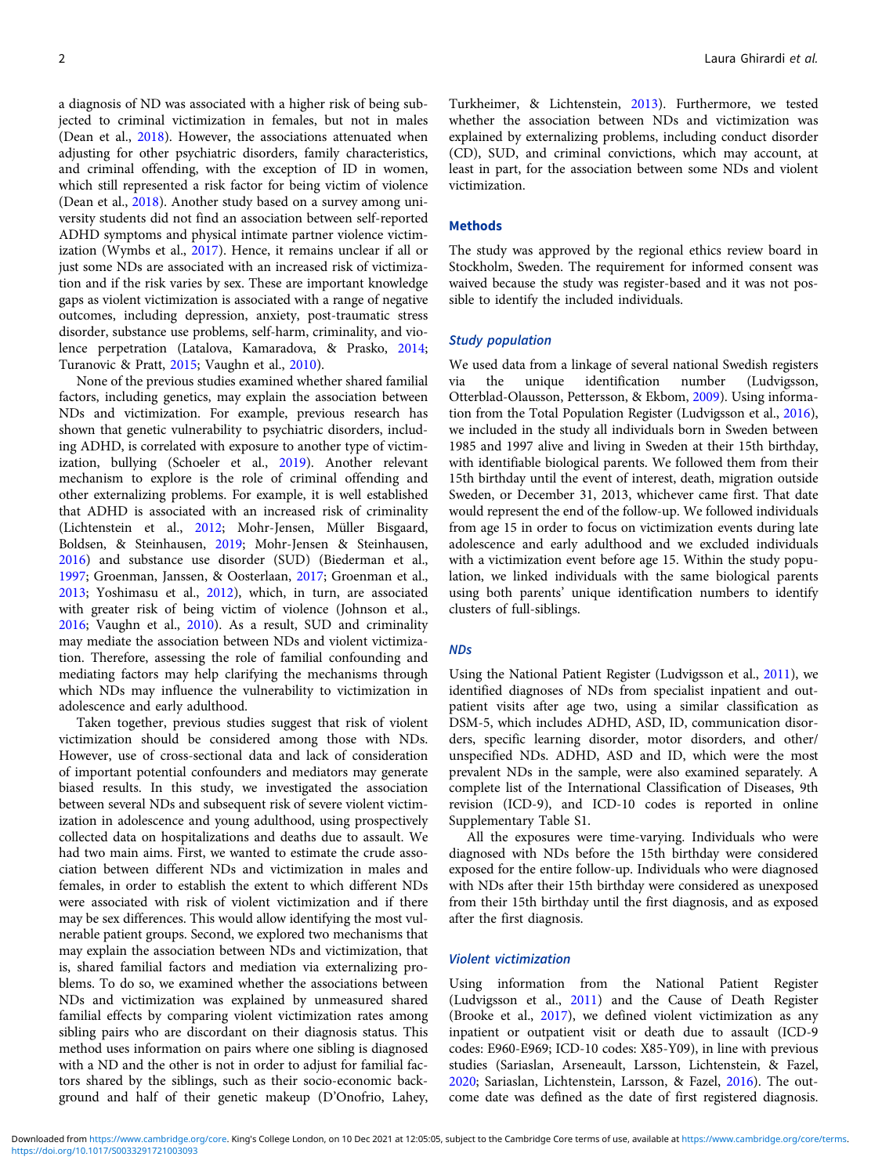a diagnosis of ND was associated with a higher risk of being subjected to criminal victimization in females, but not in males (Dean et al., [2018](#page-6-0)). However, the associations attenuated when adjusting for other psychiatric disorders, family characteristics, and criminal offending, with the exception of ID in women, which still represented a risk factor for being victim of violence (Dean et al., [2018](#page-6-0)). Another study based on a survey among university students did not find an association between self-reported ADHD symptoms and physical intimate partner violence victimization (Wymbs et al., [2017\)](#page-7-0). Hence, it remains unclear if all or just some NDs are associated with an increased risk of victimization and if the risk varies by sex. These are important knowledge gaps as violent victimization is associated with a range of negative outcomes, including depression, anxiety, post-traumatic stress disorder, substance use problems, self-harm, criminality, and violence perpetration (Latalova, Kamaradova, & Prasko, [2014](#page-7-0); Turanovic & Pratt, [2015](#page-7-0); Vaughn et al., [2010\)](#page-7-0).

None of the previous studies examined whether shared familial factors, including genetics, may explain the association between NDs and victimization. For example, previous research has shown that genetic vulnerability to psychiatric disorders, including ADHD, is correlated with exposure to another type of victimization, bullying (Schoeler et al., [2019\)](#page-7-0). Another relevant mechanism to explore is the role of criminal offending and other externalizing problems. For example, it is well established that ADHD is associated with an increased risk of criminality (Lichtenstein et al., [2012;](#page-7-0) Mohr-Jensen, Müller Bisgaard, Boldsen, & Steinhausen, [2019;](#page-7-0) Mohr-Jensen & Steinhausen, [2016\)](#page-7-0) and substance use disorder (SUD) (Biederman et al., [1997;](#page-6-0) Groenman, Janssen, & Oosterlaan, [2017;](#page-6-0) Groenman et al., [2013;](#page-6-0) Yoshimasu et al., [2012\)](#page-7-0), which, in turn, are associated with greater risk of being victim of violence (Johnson et al., [2016;](#page-7-0) Vaughn et al., [2010\)](#page-7-0). As a result, SUD and criminality may mediate the association between NDs and violent victimization. Therefore, assessing the role of familial confounding and mediating factors may help clarifying the mechanisms through which NDs may influence the vulnerability to victimization in adolescence and early adulthood.

Taken together, previous studies suggest that risk of violent victimization should be considered among those with NDs. However, use of cross-sectional data and lack of consideration of important potential confounders and mediators may generate biased results. In this study, we investigated the association between several NDs and subsequent risk of severe violent victimization in adolescence and young adulthood, using prospectively collected data on hospitalizations and deaths due to assault. We had two main aims. First, we wanted to estimate the crude association between different NDs and victimization in males and females, in order to establish the extent to which different NDs were associated with risk of violent victimization and if there may be sex differences. This would allow identifying the most vulnerable patient groups. Second, we explored two mechanisms that may explain the association between NDs and victimization, that is, shared familial factors and mediation via externalizing problems. To do so, we examined whether the associations between NDs and victimization was explained by unmeasured shared familial effects by comparing violent victimization rates among sibling pairs who are discordant on their diagnosis status. This method uses information on pairs where one sibling is diagnosed with a ND and the other is not in order to adjust for familial factors shared by the siblings, such as their socio-economic background and half of their genetic makeup (D'Onofrio, Lahey,

Turkheimer, & Lichtenstein, [2013\)](#page-6-0). Furthermore, we tested whether the association between NDs and victimization was explained by externalizing problems, including conduct disorder (CD), SUD, and criminal convictions, which may account, at least in part, for the association between some NDs and violent victimization.

#### Methods

The study was approved by the regional ethics review board in Stockholm, Sweden. The requirement for informed consent was waived because the study was register-based and it was not possible to identify the included individuals.

## Study population

We used data from a linkage of several national Swedish registers<br>via the unique identification number (Ludvigsson, via the unique identification number (Ludvigsson, Otterblad-Olausson, Pettersson, & Ekbom, [2009](#page-7-0)). Using information from the Total Population Register (Ludvigsson et al., [2016](#page-7-0)), we included in the study all individuals born in Sweden between 1985 and 1997 alive and living in Sweden at their 15th birthday, with identifiable biological parents. We followed them from their 15th birthday until the event of interest, death, migration outside Sweden, or December 31, 2013, whichever came first. That date would represent the end of the follow-up. We followed individuals from age 15 in order to focus on victimization events during late adolescence and early adulthood and we excluded individuals with a victimization event before age 15. Within the study population, we linked individuals with the same biological parents using both parents' unique identification numbers to identify clusters of full-siblings.

#### NDs

Using the National Patient Register (Ludvigsson et al., [2011](#page-7-0)), we identified diagnoses of NDs from specialist inpatient and outpatient visits after age two, using a similar classification as DSM-5, which includes ADHD, ASD, ID, communication disorders, specific learning disorder, motor disorders, and other/ unspecified NDs. ADHD, ASD and ID, which were the most prevalent NDs in the sample, were also examined separately. A complete list of the International Classification of Diseases, 9th revision (ICD-9), and ICD-10 codes is reported in online Supplementary Table S1.

All the exposures were time-varying. Individuals who were diagnosed with NDs before the 15th birthday were considered exposed for the entire follow-up. Individuals who were diagnosed with NDs after their 15th birthday were considered as unexposed from their 15th birthday until the first diagnosis, and as exposed after the first diagnosis.

#### Violent victimization

Using information from the National Patient Register (Ludvigsson et al., [2011\)](#page-7-0) and the Cause of Death Register (Brooke et al., [2017](#page-6-0)), we defined violent victimization as any inpatient or outpatient visit or death due to assault (ICD-9 codes: E960-E969; ICD-10 codes: X85-Y09), in line with previous studies (Sariaslan, Arseneault, Larsson, Lichtenstein, & Fazel, [2020;](#page-7-0) Sariaslan, Lichtenstein, Larsson, & Fazel, [2016\)](#page-7-0). The outcome date was defined as the date of first registered diagnosis.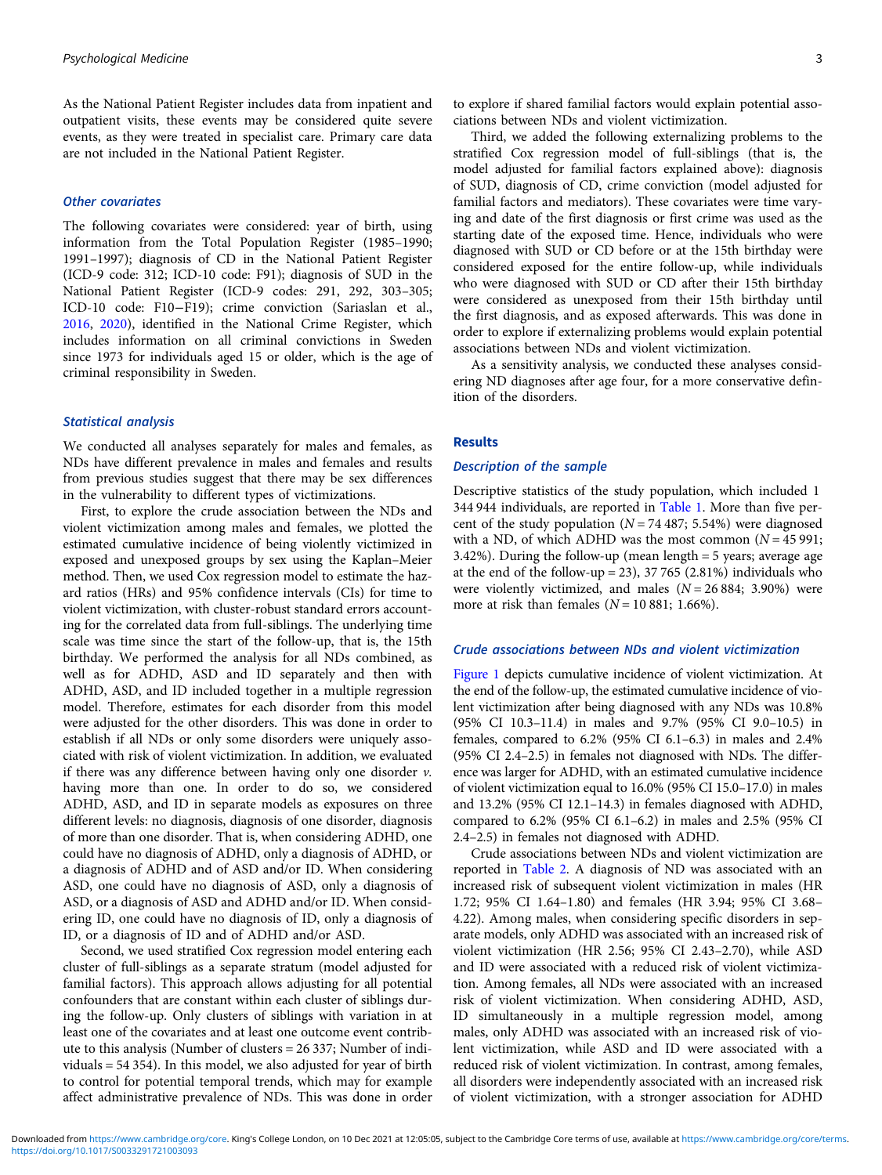As the National Patient Register includes data from inpatient and outpatient visits, these events may be considered quite severe events, as they were treated in specialist care. Primary care data are not included in the National Patient Register.

#### Other covariates

The following covariates were considered: year of birth, using information from the Total Population Register (1985–1990; 1991–1997); diagnosis of CD in the National Patient Register (ICD-9 code: 312; ICD-10 code: F91); diagnosis of SUD in the National Patient Register (ICD-9 codes: 291, 292, 303–305; ICD-10 code: F10−F19); crime conviction (Sariaslan et al., [2016,](#page-7-0) [2020\)](#page-7-0), identified in the National Crime Register, which includes information on all criminal convictions in Sweden since 1973 for individuals aged 15 or older, which is the age of criminal responsibility in Sweden.

#### Statistical analysis

We conducted all analyses separately for males and females, as NDs have different prevalence in males and females and results from previous studies suggest that there may be sex differences in the vulnerability to different types of victimizations.

First, to explore the crude association between the NDs and violent victimization among males and females, we plotted the estimated cumulative incidence of being violently victimized in exposed and unexposed groups by sex using the Kaplan–Meier method. Then, we used Cox regression model to estimate the hazard ratios (HRs) and 95% confidence intervals (CIs) for time to violent victimization, with cluster-robust standard errors accounting for the correlated data from full-siblings. The underlying time scale was time since the start of the follow-up, that is, the 15th birthday. We performed the analysis for all NDs combined, as well as for ADHD, ASD and ID separately and then with ADHD, ASD, and ID included together in a multiple regression model. Therefore, estimates for each disorder from this model were adjusted for the other disorders. This was done in order to establish if all NDs or only some disorders were uniquely associated with risk of violent victimization. In addition, we evaluated if there was any difference between having only one disorder  $v$ . having more than one. In order to do so, we considered ADHD, ASD, and ID in separate models as exposures on three different levels: no diagnosis, diagnosis of one disorder, diagnosis of more than one disorder. That is, when considering ADHD, one could have no diagnosis of ADHD, only a diagnosis of ADHD, or a diagnosis of ADHD and of ASD and/or ID. When considering ASD, one could have no diagnosis of ASD, only a diagnosis of ASD, or a diagnosis of ASD and ADHD and/or ID. When considering ID, one could have no diagnosis of ID, only a diagnosis of ID, or a diagnosis of ID and of ADHD and/or ASD.

Second, we used stratified Cox regression model entering each cluster of full-siblings as a separate stratum (model adjusted for familial factors). This approach allows adjusting for all potential confounders that are constant within each cluster of siblings during the follow-up. Only clusters of siblings with variation in at least one of the covariates and at least one outcome event contribute to this analysis (Number of clusters = 26 337; Number of individuals = 54 354). In this model, we also adjusted for year of birth to control for potential temporal trends, which may for example affect administrative prevalence of NDs. This was done in order to explore if shared familial factors would explain potential associations between NDs and violent victimization.

Third, we added the following externalizing problems to the stratified Cox regression model of full-siblings (that is, the model adjusted for familial factors explained above): diagnosis of SUD, diagnosis of CD, crime conviction (model adjusted for familial factors and mediators). These covariates were time varying and date of the first diagnosis or first crime was used as the starting date of the exposed time. Hence, individuals who were diagnosed with SUD or CD before or at the 15th birthday were considered exposed for the entire follow-up, while individuals who were diagnosed with SUD or CD after their 15th birthday were considered as unexposed from their 15th birthday until the first diagnosis, and as exposed afterwards. This was done in order to explore if externalizing problems would explain potential associations between NDs and violent victimization.

As a sensitivity analysis, we conducted these analyses considering ND diagnoses after age four, for a more conservative definition of the disorders.

#### Results

## Description of the sample

Descriptive statistics of the study population, which included 1 344 944 individuals, are reported in [Table 1](#page-3-0). More than five percent of the study population  $(N = 74487; 5.54%)$  were diagnosed with a ND, of which ADHD was the most common  $(N = 45991;$ 3.42%). During the follow-up (mean length = 5 years; average age at the end of the follow-up = 23), 37 765 (2.81%) individuals who were violently victimized, and males  $(N = 26884; 3.90\%)$  were more at risk than females  $(N = 10 881; 1.66\%).$ 

#### Crude associations between NDs and violent victimization

[Figure 1](#page-3-0) depicts cumulative incidence of violent victimization. At the end of the follow-up, the estimated cumulative incidence of violent victimization after being diagnosed with any NDs was 10.8% (95% CI 10.3–11.4) in males and 9.7% (95% CI 9.0–10.5) in females, compared to 6.2% (95% CI 6.1–6.3) in males and 2.4% (95% CI 2.4–2.5) in females not diagnosed with NDs. The difference was larger for ADHD, with an estimated cumulative incidence of violent victimization equal to 16.0% (95% CI 15.0–17.0) in males and 13.2% (95% CI 12.1–14.3) in females diagnosed with ADHD, compared to 6.2% (95% CI 6.1–6.2) in males and 2.5% (95% CI 2.4–2.5) in females not diagnosed with ADHD.

Crude associations between NDs and violent victimization are reported in [Table 2.](#page-4-0) A diagnosis of ND was associated with an increased risk of subsequent violent victimization in males (HR 1.72; 95% CI 1.64–1.80) and females (HR 3.94; 95% CI 3.68– 4.22). Among males, when considering specific disorders in separate models, only ADHD was associated with an increased risk of violent victimization (HR 2.56; 95% CI 2.43–2.70), while ASD and ID were associated with a reduced risk of violent victimization. Among females, all NDs were associated with an increased risk of violent victimization. When considering ADHD, ASD, ID simultaneously in a multiple regression model, among males, only ADHD was associated with an increased risk of violent victimization, while ASD and ID were associated with a reduced risk of violent victimization. In contrast, among females, all disorders were independently associated with an increased risk of violent victimization, with a stronger association for ADHD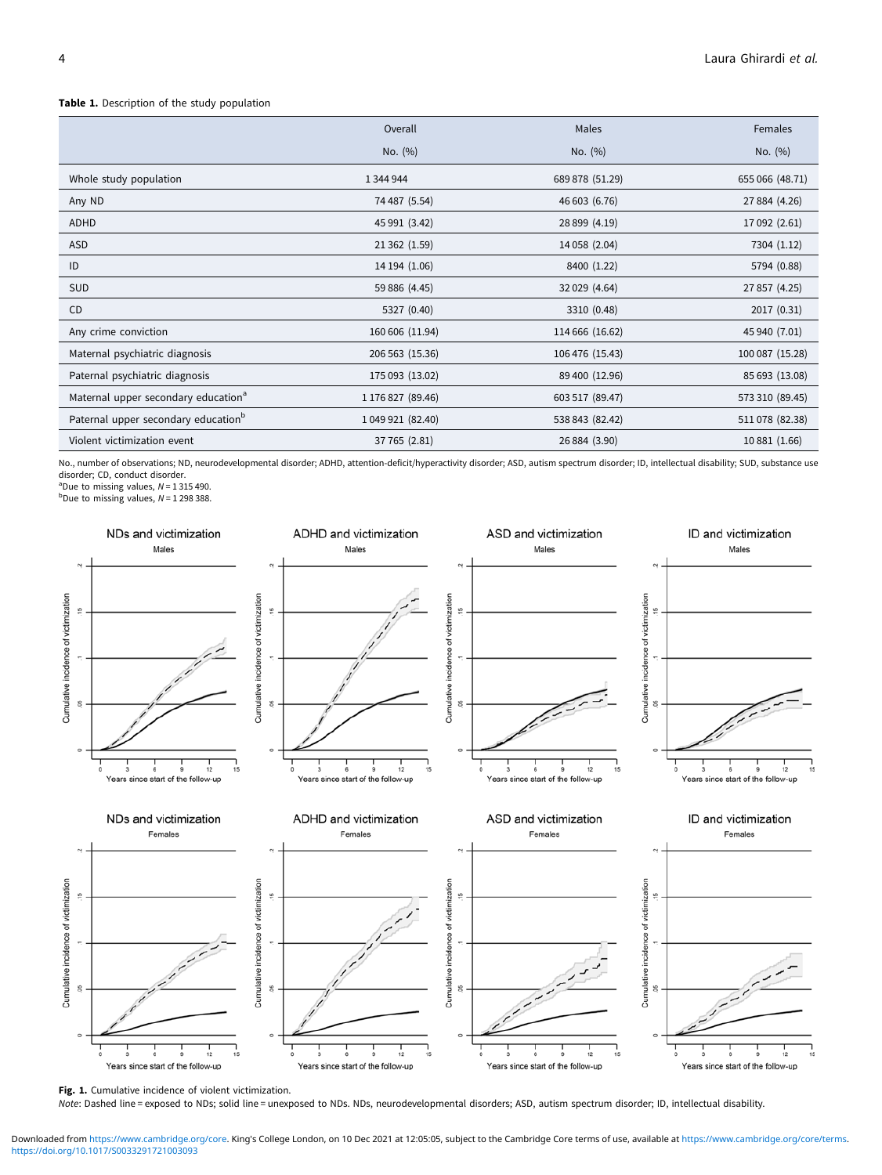#### <span id="page-3-0"></span>Table 1. Description of the study population

|                                                 | Overall           | Males           | Females         |
|-------------------------------------------------|-------------------|-----------------|-----------------|
|                                                 | No. (%)           | No. $(%)$       | No. (%)         |
| Whole study population                          | 1 344 944         | 689 878 (51.29) | 655 066 (48.71) |
| Any ND                                          | 74 487 (5.54)     | 46 603 (6.76)   | 27 884 (4.26)   |
| ADHD                                            | 45 991 (3.42)     | 28 899 (4.19)   | 17 092 (2.61)   |
| ASD                                             | 21 362 (1.59)     | 14 058 (2.04)   | 7304 (1.12)     |
| ID                                              | 14 194 (1.06)     | 8400 (1.22)     | 5794 (0.88)     |
| SUD                                             | 59 886 (4.45)     | 32 029 (4.64)   | 27 857 (4.25)   |
| CD                                              | 5327 (0.40)       | 3310 (0.48)     | 2017 (0.31)     |
| Any crime conviction                            | 160 606 (11.94)   | 114 666 (16.62) | 45 940 (7.01)   |
| Maternal psychiatric diagnosis                  | 206 563 (15.36)   | 106 476 (15.43) | 100 087 (15.28) |
| Paternal psychiatric diagnosis                  | 175 093 (13.02)   | 89 400 (12.96)  | 85 693 (13.08)  |
| Maternal upper secondary education <sup>a</sup> | 1 176 827 (89.46) | 603 517 (89.47) | 573 310 (89.45) |
| Paternal upper secondary education <sup>b</sup> | 1 049 921 (82.40) | 538 843 (82.42) | 511 078 (82.38) |
| Violent victimization event                     | 37 765 (2.81)     | 26 884 (3.90)   | 10 881 (1.66)   |

No., number of observations; ND, neurodevelopmental disorder; ADHD, attention-deficit/hyperactivity disorder; ASD, autism spectrum disorder; ID, intellectual disability; SUD, substance use disorder; CD, conduct disorder.

<sup>a</sup>Due to missing values,  $N = 1315490$ .<br><sup>b</sup>Due to missing values,  $N = 1298388$ .



Fig. 1. Cumulative incidence of violent victimization.

Note: Dashed line = exposed to NDs; solid line = unexposed to NDs. NDs, neurodevelopmental disorders; ASD, autism spectrum disorder; ID, intellectual disability.

<https://doi.org/10.1017/S0033291721003093> Downloaded from<https://www.cambridge.org/core>. King's College London, on 10 Dec 2021 at 12:05:05, subject to the Cambridge Core terms of use, available at <https://www.cambridge.org/core/terms>.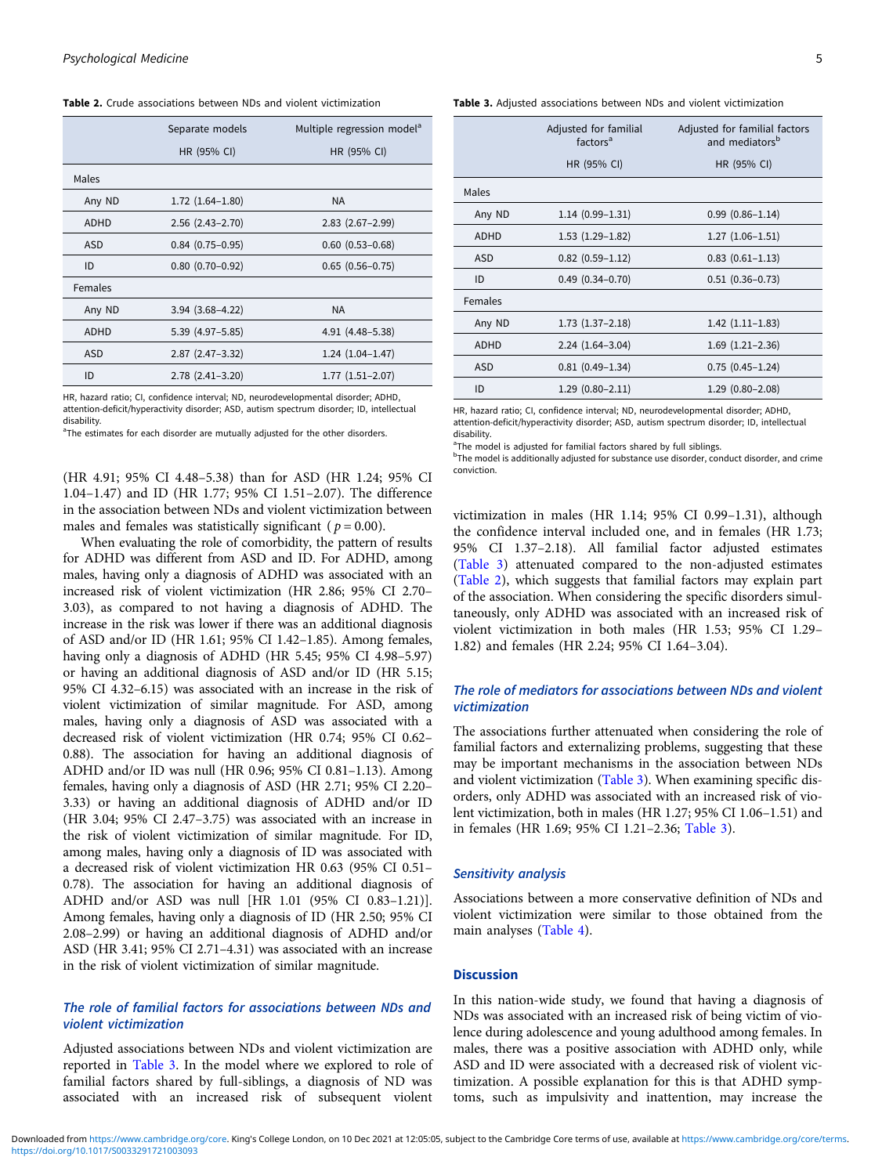<span id="page-4-0"></span>Table 2. Crude associations between NDs and violent victimization

|             | Separate models        | Multiple regression model <sup>a</sup> |  |
|-------------|------------------------|----------------------------------------|--|
|             | HR (95% CI)            | HR (95% CI)                            |  |
| Males       |                        |                                        |  |
| Any ND      | $1.72(1.64 - 1.80)$    | <b>NA</b>                              |  |
| <b>ADHD</b> | $2.56$ $(2.43 - 2.70)$ | $2.83$ $(2.67 - 2.99)$                 |  |
| <b>ASD</b>  | $0.84$ (0.75-0.95)     | $0.60$ $(0.53 - 0.68)$                 |  |
| ID          | $0.80(0.70-0.92)$      | $0.65(0.56 - 0.75)$                    |  |
| Females     |                        |                                        |  |
| Any ND      | $3.94(3.68 - 4.22)$    | <b>NA</b>                              |  |
| <b>ADHD</b> | $5.39(4.97 - 5.85)$    | 4.91 (4.48-5.38)                       |  |
| <b>ASD</b>  | $2.87$ $(2.47 - 3.32)$ | $1.24(1.04-1.47)$                      |  |
| ID          | $2.78(2.41-3.20)$      | $1.77(1.51 - 2.07)$                    |  |

HR, hazard ratio; CI, confidence interval; ND, neurodevelopmental disorder; ADHD, attention-deficit/hyperactivity disorder; ASD, autism spectrum disorder; ID, intellectual disability.

<sup>a</sup>The estimates for each disorder are mutually adjusted for the other disorders.

(HR 4.91; 95% CI 4.48–5.38) than for ASD (HR 1.24; 95% CI 1.04–1.47) and ID (HR 1.77; 95% CI 1.51–2.07). The difference in the association between NDs and violent victimization between males and females was statistically significant ( $p = 0.00$ ).

When evaluating the role of comorbidity, the pattern of results for ADHD was different from ASD and ID. For ADHD, among males, having only a diagnosis of ADHD was associated with an increased risk of violent victimization (HR 2.86; 95% CI 2.70– 3.03), as compared to not having a diagnosis of ADHD. The increase in the risk was lower if there was an additional diagnosis of ASD and/or ID (HR 1.61; 95% CI 1.42–1.85). Among females, having only a diagnosis of ADHD (HR 5.45; 95% CI 4.98–5.97) or having an additional diagnosis of ASD and/or ID (HR 5.15; 95% CI 4.32–6.15) was associated with an increase in the risk of violent victimization of similar magnitude. For ASD, among males, having only a diagnosis of ASD was associated with a decreased risk of violent victimization (HR 0.74; 95% CI 0.62– 0.88). The association for having an additional diagnosis of ADHD and/or ID was null (HR 0.96; 95% CI 0.81–1.13). Among females, having only a diagnosis of ASD (HR 2.71; 95% CI 2.20– 3.33) or having an additional diagnosis of ADHD and/or ID (HR 3.04; 95% CI 2.47–3.75) was associated with an increase in the risk of violent victimization of similar magnitude. For ID, among males, having only a diagnosis of ID was associated with a decreased risk of violent victimization HR 0.63 (95% CI 0.51– 0.78). The association for having an additional diagnosis of ADHD and/or ASD was null [HR 1.01 (95% CI 0.83–1.21)]. Among females, having only a diagnosis of ID (HR 2.50; 95% CI 2.08–2.99) or having an additional diagnosis of ADHD and/or ASD (HR 3.41; 95% CI 2.71–4.31) was associated with an increase in the risk of violent victimization of similar magnitude.

# The role of familial factors for associations between NDs and violent victimization

Adjusted associations between NDs and violent victimization are reported in Table 3. In the model where we explored to role of familial factors shared by full-siblings, a diagnosis of ND was associated with an increased risk of subsequent violent

Table 3. Adjusted associations between NDs and violent victimization

|            | Adjusted for familial<br>factors <sup>a</sup> | Adjusted for familial factors<br>and mediators <sup>b</sup> |
|------------|-----------------------------------------------|-------------------------------------------------------------|
|            | HR (95% CI)                                   | HR (95% CI)                                                 |
| Males      |                                               |                                                             |
| Any ND     | $1.14(0.99-1.31)$                             | $0.99(0.86 - 1.14)$                                         |
| ADHD       | $1.53(1.29-1.82)$                             | $1.27(1.06-1.51)$                                           |
| ASD        | $0.82$ $(0.59-1.12)$                          | $0.83$ $(0.61 - 1.13)$                                      |
| ID         | $0.49$ $(0.34 - 0.70)$                        | $0.51$ $(0.36 - 0.73)$                                      |
| Females    |                                               |                                                             |
| Any ND     | $1.73(1.37-2.18)$                             | $1.42(1.11-1.83)$                                           |
| ADHD       | $2.24(1.64-3.04)$                             | $1.69$ $(1.21-2.36)$                                        |
| <b>ASD</b> | $0.81(0.49-1.34)$                             | $0.75(0.45 - 1.24)$                                         |
| ID         | $1.29(0.80 - 2.11)$                           | $1.29(0.80 - 2.08)$                                         |

HR, hazard ratio; CI, confidence interval; ND, neurodevelopmental disorder; ADHD, attention-deficit/hyperactivity disorder; ASD, autism spectrum disorder; ID, intellectual disability.

<sup>a</sup>The model is adjusted for familial factors shared by full siblings.

<sup>b</sup>The model is additionally adjusted for substance use disorder, conduct disorder, and crime conviction.

victimization in males (HR 1.14; 95% CI 0.99–1.31), although the confidence interval included one, and in females (HR 1.73; 95% CI 1.37–2.18). All familial factor adjusted estimates (Table 3) attenuated compared to the non-adjusted estimates (Table 2), which suggests that familial factors may explain part of the association. When considering the specific disorders simultaneously, only ADHD was associated with an increased risk of violent victimization in both males (HR 1.53; 95% CI 1.29– 1.82) and females (HR 2.24; 95% CI 1.64–3.04).

## The role of mediators for associations between NDs and violent victimization

The associations further attenuated when considering the role of familial factors and externalizing problems, suggesting that these may be important mechanisms in the association between NDs and violent victimization (Table 3). When examining specific disorders, only ADHD was associated with an increased risk of violent victimization, both in males (HR 1.27; 95% CI 1.06–1.51) and in females (HR 1.69; 95% CI 1.21–2.36; Table 3).

#### Sensitivity analysis

Associations between a more conservative definition of NDs and violent victimization were similar to those obtained from the main analyses [\(Table 4\)](#page-5-0).

#### **Discussion**

In this nation-wide study, we found that having a diagnosis of NDs was associated with an increased risk of being victim of violence during adolescence and young adulthood among females. In males, there was a positive association with ADHD only, while ASD and ID were associated with a decreased risk of violent victimization. A possible explanation for this is that ADHD symptoms, such as impulsivity and inattention, may increase the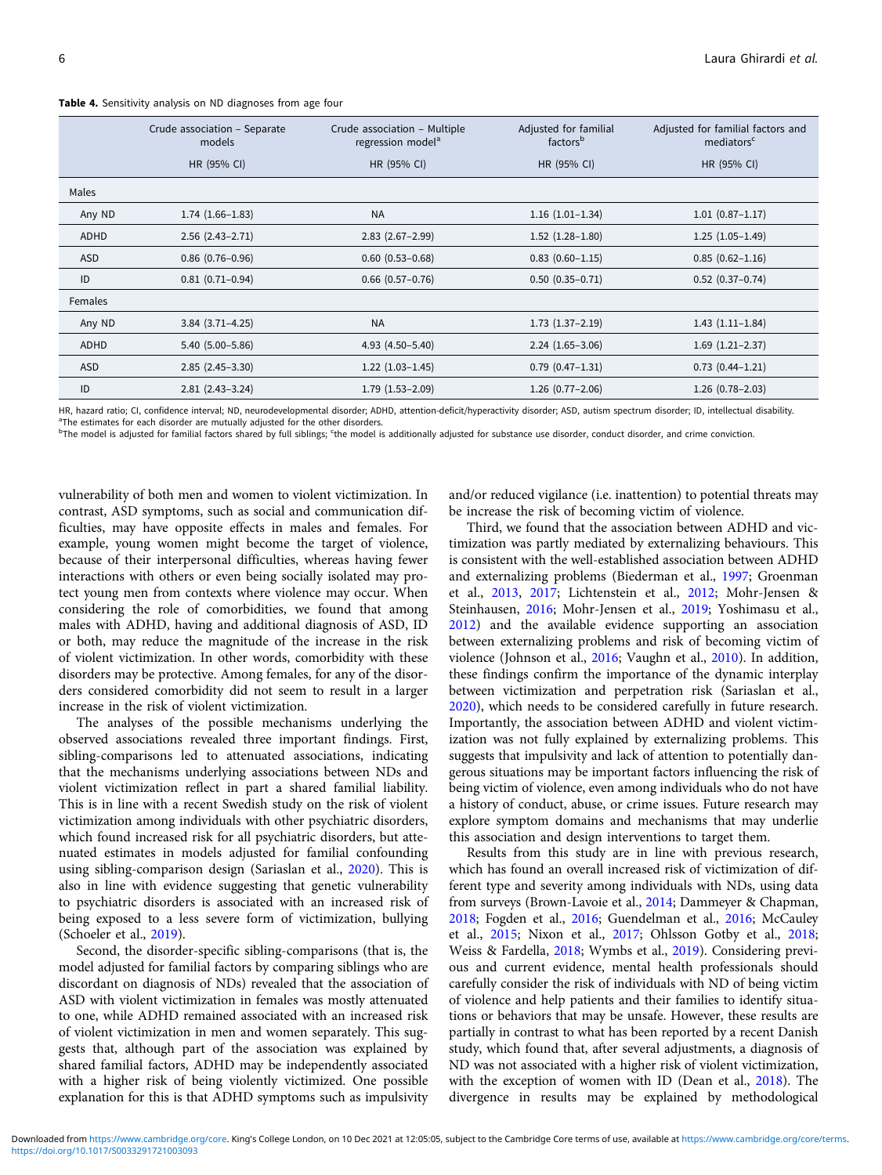|         | Crude association - Separate<br>models | Crude association - Multiple<br>regression model <sup>a</sup> | Adjusted for familial<br>factors <sup>b</sup> | Adjusted for familial factors and<br>mediators <sup>c</sup> |
|---------|----------------------------------------|---------------------------------------------------------------|-----------------------------------------------|-------------------------------------------------------------|
|         | HR (95% CI)                            | HR (95% CI)                                                   | HR (95% CI)                                   | HR (95% CI)                                                 |
| Males   |                                        |                                                               |                                               |                                                             |
| Any ND  | $1.74(1.66-1.83)$                      | <b>NA</b>                                                     | $1.16(1.01-1.34)$                             | $1.01(0.87 - 1.17)$                                         |
| ADHD    | $2.56$ $(2.43 - 2.71)$                 | $2.83$ $(2.67 - 2.99)$                                        | $1.52$ $(1.28-1.80)$                          | $1.25(1.05-1.49)$                                           |
| ASD     | $0.86$ $(0.76 - 0.96)$                 | $0.60$ $(0.53 - 0.68)$                                        | $0.83(0.60 - 1.15)$                           | $0.85(0.62 - 1.16)$                                         |
| ID      | $0.81(0.71-0.94)$                      | $0.66$ $(0.57-0.76)$                                          | $0.50(0.35-0.71)$                             | $0.52$ (0.37-0.74)                                          |
| Females |                                        |                                                               |                                               |                                                             |
| Any ND  | $3.84$ $(3.71 - 4.25)$                 | <b>NA</b>                                                     | $1.73$ $(1.37-2.19)$                          | $1.43(1.11-1.84)$                                           |
| ADHD    | $5.40(5.00 - 5.86)$                    | $4.93(4.50 - 5.40)$                                           | $2.24(1.65-3.06)$                             | $1.69$ $(1.21 - 2.37)$                                      |
| ASD     | $2.85(2.45-3.30)$                      | $1.22$ $(1.03-1.45)$                                          | $0.79(0.47-1.31)$                             | $0.73$ $(0.44 - 1.21)$                                      |
| ID      | $2.81(2.43-3.24)$                      | $1.79$ $(1.53 - 2.09)$                                        | $1.26$ (0.77-2.06)                            | $1.26$ (0.78-2.03)                                          |

<span id="page-5-0"></span>Table 4. Sensitivity analysis on ND diagnoses from age four

HR, hazard ratio; CI, confidence interval; ND, neurodevelopmental disorder; ADHD, attention-deficit/hyperactivity disorder; ASD, autism spectrum disorder; ID, intellectual disability. <sup>a</sup>The estimates for each disorder are mutually adjusted for the other disorders.

<sup>b</sup>The model is adjusted for familial factors shared by full siblings; <sup>c</sup>the model is additionally adjusted for substance use disorder, conduct disorder, and crime conviction.

vulnerability of both men and women to violent victimization. In contrast, ASD symptoms, such as social and communication difficulties, may have opposite effects in males and females. For example, young women might become the target of violence, because of their interpersonal difficulties, whereas having fewer interactions with others or even being socially isolated may protect young men from contexts where violence may occur. When considering the role of comorbidities, we found that among males with ADHD, having and additional diagnosis of ASD, ID or both, may reduce the magnitude of the increase in the risk of violent victimization. In other words, comorbidity with these disorders may be protective. Among females, for any of the disorders considered comorbidity did not seem to result in a larger increase in the risk of violent victimization.

The analyses of the possible mechanisms underlying the observed associations revealed three important findings. First, sibling-comparisons led to attenuated associations, indicating that the mechanisms underlying associations between NDs and violent victimization reflect in part a shared familial liability. This is in line with a recent Swedish study on the risk of violent victimization among individuals with other psychiatric disorders, which found increased risk for all psychiatric disorders, but attenuated estimates in models adjusted for familial confounding using sibling-comparison design (Sariaslan et al., [2020](#page-7-0)). This is also in line with evidence suggesting that genetic vulnerability to psychiatric disorders is associated with an increased risk of being exposed to a less severe form of victimization, bullying (Schoeler et al., [2019](#page-7-0)).

Second, the disorder-specific sibling-comparisons (that is, the model adjusted for familial factors by comparing siblings who are discordant on diagnosis of NDs) revealed that the association of ASD with violent victimization in females was mostly attenuated to one, while ADHD remained associated with an increased risk of violent victimization in men and women separately. This suggests that, although part of the association was explained by shared familial factors, ADHD may be independently associated with a higher risk of being violently victimized. One possible explanation for this is that ADHD symptoms such as impulsivity

and/or reduced vigilance (i.e. inattention) to potential threats may be increase the risk of becoming victim of violence.

Third, we found that the association between ADHD and victimization was partly mediated by externalizing behaviours. This is consistent with the well-established association between ADHD and externalizing problems (Biederman et al., [1997;](#page-6-0) Groenman et al., [2013](#page-6-0), [2017](#page-6-0); Lichtenstein et al., [2012;](#page-7-0) Mohr-Jensen & Steinhausen, [2016;](#page-7-0) Mohr-Jensen et al., [2019](#page-7-0); Yoshimasu et al., [2012\)](#page-7-0) and the available evidence supporting an association between externalizing problems and risk of becoming victim of violence (Johnson et al., [2016;](#page-7-0) Vaughn et al., [2010\)](#page-7-0). In addition, these findings confirm the importance of the dynamic interplay between victimization and perpetration risk (Sariaslan et al., [2020\)](#page-7-0), which needs to be considered carefully in future research. Importantly, the association between ADHD and violent victimization was not fully explained by externalizing problems. This suggests that impulsivity and lack of attention to potentially dangerous situations may be important factors influencing the risk of being victim of violence, even among individuals who do not have a history of conduct, abuse, or crime issues. Future research may explore symptom domains and mechanisms that may underlie this association and design interventions to target them.

Results from this study are in line with previous research, which has found an overall increased risk of victimization of different type and severity among individuals with NDs, using data from surveys (Brown-Lavoie et al., [2014](#page-6-0); Dammeyer & Chapman, [2018;](#page-6-0) Fogden et al., [2016](#page-6-0); Guendelman et al., [2016](#page-7-0); McCauley et al., [2015;](#page-7-0) Nixon et al., [2017](#page-7-0); Ohlsson Gotby et al., [2018;](#page-7-0) Weiss & Fardella, [2018](#page-7-0); Wymbs et al., [2019](#page-7-0)). Considering previous and current evidence, mental health professionals should carefully consider the risk of individuals with ND of being victim of violence and help patients and their families to identify situations or behaviors that may be unsafe. However, these results are partially in contrast to what has been reported by a recent Danish study, which found that, after several adjustments, a diagnosis of ND was not associated with a higher risk of violent victimization, with the exception of women with ID (Dean et al., [2018\)](#page-6-0). The divergence in results may be explained by methodological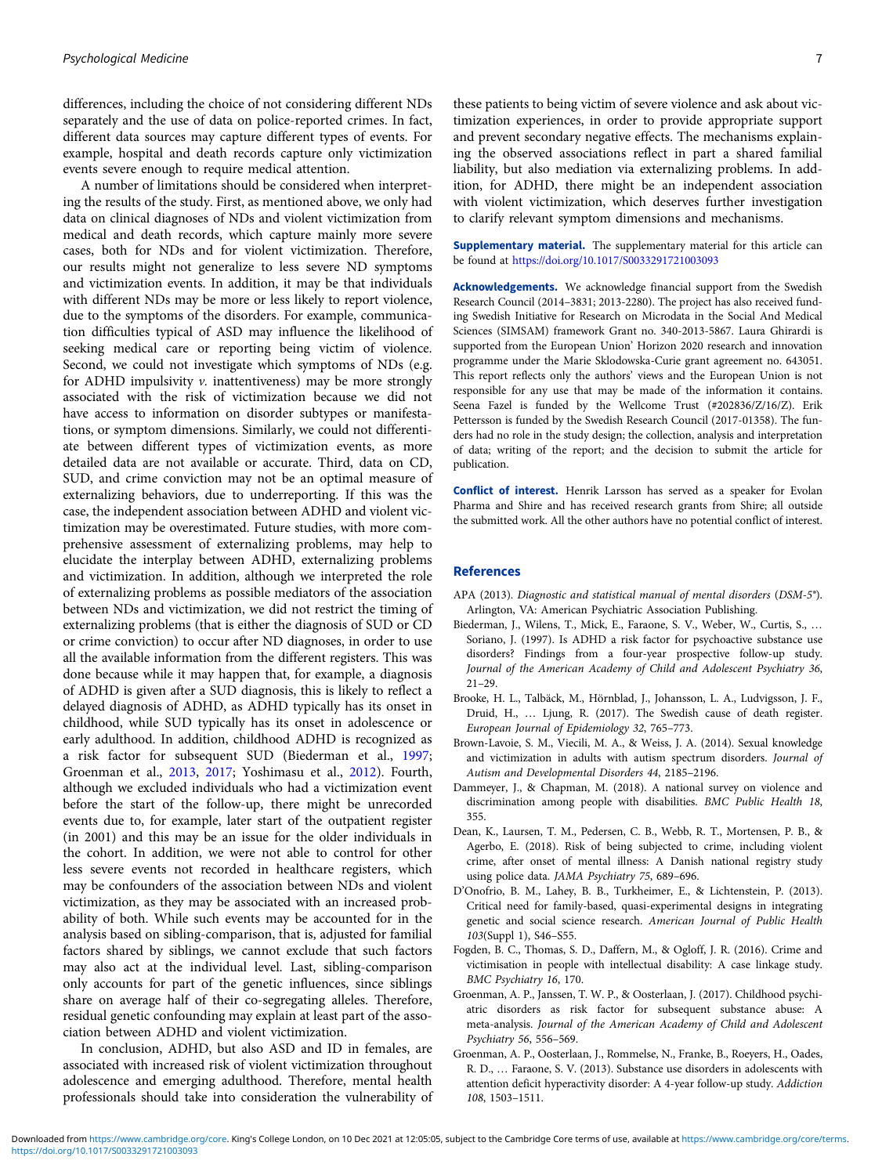<span id="page-6-0"></span>differences, including the choice of not considering different NDs separately and the use of data on police-reported crimes. In fact, different data sources may capture different types of events. For example, hospital and death records capture only victimization events severe enough to require medical attention.

A number of limitations should be considered when interpreting the results of the study. First, as mentioned above, we only had data on clinical diagnoses of NDs and violent victimization from medical and death records, which capture mainly more severe cases, both for NDs and for violent victimization. Therefore, our results might not generalize to less severe ND symptoms and victimization events. In addition, it may be that individuals with different NDs may be more or less likely to report violence, due to the symptoms of the disorders. For example, communication difficulties typical of ASD may influence the likelihood of seeking medical care or reporting being victim of violence. Second, we could not investigate which symptoms of NDs (e.g. for ADHD impulsivity  $v$ . inattentiveness) may be more strongly associated with the risk of victimization because we did not have access to information on disorder subtypes or manifestations, or symptom dimensions. Similarly, we could not differentiate between different types of victimization events, as more detailed data are not available or accurate. Third, data on CD, SUD, and crime conviction may not be an optimal measure of externalizing behaviors, due to underreporting. If this was the case, the independent association between ADHD and violent victimization may be overestimated. Future studies, with more comprehensive assessment of externalizing problems, may help to elucidate the interplay between ADHD, externalizing problems and victimization. In addition, although we interpreted the role of externalizing problems as possible mediators of the association between NDs and victimization, we did not restrict the timing of externalizing problems (that is either the diagnosis of SUD or CD or crime conviction) to occur after ND diagnoses, in order to use all the available information from the different registers. This was done because while it may happen that, for example, a diagnosis of ADHD is given after a SUD diagnosis, this is likely to reflect a delayed diagnosis of ADHD, as ADHD typically has its onset in childhood, while SUD typically has its onset in adolescence or early adulthood. In addition, childhood ADHD is recognized as a risk factor for subsequent SUD (Biederman et al., 1997; Groenman et al., 2013, 2017; Yoshimasu et al., [2012](#page-7-0)). Fourth, although we excluded individuals who had a victimization event before the start of the follow-up, there might be unrecorded events due to, for example, later start of the outpatient register (in 2001) and this may be an issue for the older individuals in the cohort. In addition, we were not able to control for other less severe events not recorded in healthcare registers, which may be confounders of the association between NDs and violent victimization, as they may be associated with an increased probability of both. While such events may be accounted for in the analysis based on sibling-comparison, that is, adjusted for familial factors shared by siblings, we cannot exclude that such factors may also act at the individual level. Last, sibling-comparison only accounts for part of the genetic influences, since siblings share on average half of their co-segregating alleles. Therefore, residual genetic confounding may explain at least part of the association between ADHD and violent victimization.

In conclusion, ADHD, but also ASD and ID in females, are associated with increased risk of violent victimization throughout adolescence and emerging adulthood. Therefore, mental health professionals should take into consideration the vulnerability of

these patients to being victim of severe violence and ask about victimization experiences, in order to provide appropriate support and prevent secondary negative effects. The mechanisms explaining the observed associations reflect in part a shared familial liability, but also mediation via externalizing problems. In addition, for ADHD, there might be an independent association with violent victimization, which deserves further investigation to clarify relevant symptom dimensions and mechanisms.

Supplementary material. The supplementary material for this article can be found at <https://doi.org/10.1017/S0033291721003093>

Acknowledgements. We acknowledge financial support from the Swedish Research Council (2014–3831; 2013-2280). The project has also received funding Swedish Initiative for Research on Microdata in the Social And Medical Sciences (SIMSAM) framework Grant no. 340-2013-5867. Laura Ghirardi is supported from the European Union' Horizon 2020 research and innovation programme under the Marie Sklodowska-Curie grant agreement no. 643051. This report reflects only the authors' views and the European Union is not responsible for any use that may be made of the information it contains. Seena Fazel is funded by the Wellcome Trust (#202836/Z/16/Z). Erik Pettersson is funded by the Swedish Research Council (2017-01358). The funders had no role in the study design; the collection, analysis and interpretation of data; writing of the report; and the decision to submit the article for publication.

Conflict of interest. Henrik Larsson has served as a speaker for Evolan Pharma and Shire and has received research grants from Shire; all outside the submitted work. All the other authors have no potential conflict of interest.

#### References

- APA (2013). Diagnostic and statistical manual of mental disorders (DSM-5®). Arlington, VA: American Psychiatric Association Publishing.
- Biederman, J., Wilens, T., Mick, E., Faraone, S. V., Weber, W., Curtis, S., … Soriano, J. (1997). Is ADHD a risk factor for psychoactive substance use disorders? Findings from a four-year prospective follow-up study. Journal of the American Academy of Child and Adolescent Psychiatry 36, 21–29.
- Brooke, H. L., Talbäck, M., Hörnblad, J., Johansson, L. A., Ludvigsson, J. F., Druid, H., … Ljung, R. (2017). The Swedish cause of death register. European Journal of Epidemiology 32, 765–773.
- Brown-Lavoie, S. M., Viecili, M. A., & Weiss, J. A. (2014). Sexual knowledge and victimization in adults with autism spectrum disorders. Journal of Autism and Developmental Disorders 44, 2185–2196.
- Dammeyer, J., & Chapman, M. (2018). A national survey on violence and discrimination among people with disabilities. BMC Public Health 18, 355.
- Dean, K., Laursen, T. M., Pedersen, C. B., Webb, R. T., Mortensen, P. B., & Agerbo, E. (2018). Risk of being subjected to crime, including violent crime, after onset of mental illness: A Danish national registry study using police data. JAMA Psychiatry 75, 689–696.
- D'Onofrio, B. M., Lahey, B. B., Turkheimer, E., & Lichtenstein, P. (2013). Critical need for family-based, quasi-experimental designs in integrating genetic and social science research. American Journal of Public Health 103(Suppl 1), S46–S55.
- Fogden, B. C., Thomas, S. D., Daffern, M., & Ogloff, J. R. (2016). Crime and victimisation in people with intellectual disability: A case linkage study. BMC Psychiatry 16, 170.
- Groenman, A. P., Janssen, T. W. P., & Oosterlaan, J. (2017). Childhood psychiatric disorders as risk factor for subsequent substance abuse: A meta-analysis. Journal of the American Academy of Child and Adolescent Psychiatry 56, 556–569.
- Groenman, A. P., Oosterlaan, J., Rommelse, N., Franke, B., Roeyers, H., Oades, R. D., … Faraone, S. V. (2013). Substance use disorders in adolescents with attention deficit hyperactivity disorder: A 4-year follow-up study. Addiction 108, 1503–1511.